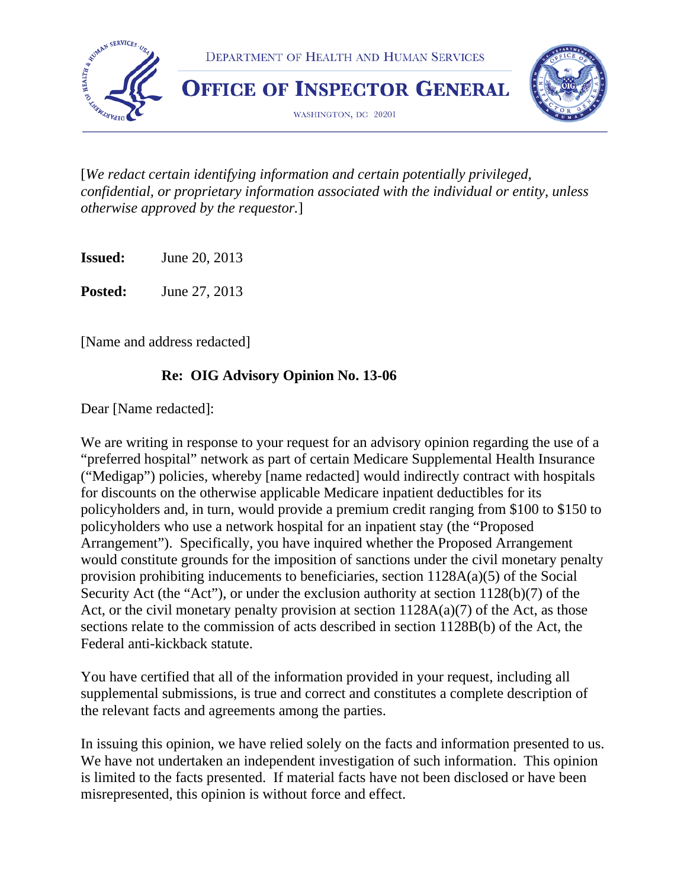

[*We redact certain identifying information and certain potentially privileged, confidential, or proprietary information associated with the individual or entity, unless otherwise approved by the requestor.*]

**Issued:** June 20, 2013

**Posted:** June 27, 2013

[Name and address redacted]

#### **Re: OIG Advisory Opinion No. 13-06**

Dear [Name redacted]:

We are writing in response to your request for an advisory opinion regarding the use of a "preferred hospital" network as part of certain Medicare Supplemental Health Insurance ("Medigap") policies, whereby [name redacted] would indirectly contract with hospitals for discounts on the otherwise applicable Medicare inpatient deductibles for its policyholders and, in turn, would provide a premium credit ranging from \$100 to \$150 to policyholders who use a network hospital for an inpatient stay (the "Proposed Arrangement"). Specifically, you have inquired whether the Proposed Arrangement would constitute grounds for the imposition of sanctions under the civil monetary penalty provision prohibiting inducements to beneficiaries, section 1128A(a)(5) of the Social Security Act (the "Act"), or under the exclusion authority at section 1128(b)(7) of the Act, or the civil monetary penalty provision at section  $1128A(a)(7)$  of the Act, as those sections relate to the commission of acts described in section 1128B(b) of the Act, the Federal anti-kickback statute.

You have certified that all of the information provided in your request, including all supplemental submissions, is true and correct and constitutes a complete description of the relevant facts and agreements among the parties.

In issuing this opinion, we have relied solely on the facts and information presented to us. We have not undertaken an independent investigation of such information. This opinion is limited to the facts presented. If material facts have not been disclosed or have been misrepresented, this opinion is without force and effect.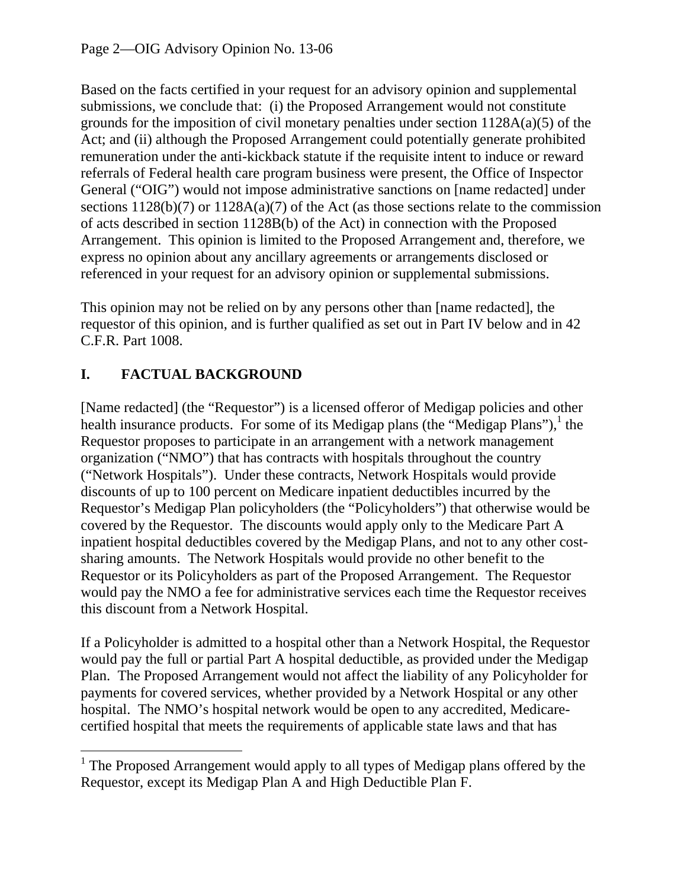Based on the facts certified in your request for an advisory opinion and supplemental submissions, we conclude that: (i) the Proposed Arrangement would not constitute grounds for the imposition of civil monetary penalties under section  $1128A(a)(5)$  of the Act; and (ii) although the Proposed Arrangement could potentially generate prohibited remuneration under the anti-kickback statute if the requisite intent to induce or reward referrals of Federal health care program business were present, the Office of Inspector General ("OIG") would not impose administrative sanctions on [name redacted] under sections  $1128(b)(7)$  or  $1128A(a)(7)$  of the Act (as those sections relate to the commission of acts described in section 1128B(b) of the Act) in connection with the Proposed Arrangement. This opinion is limited to the Proposed Arrangement and, therefore, we express no opinion about any ancillary agreements or arrangements disclosed or referenced in your request for an advisory opinion or supplemental submissions.

This opinion may not be relied on by any persons other than [name redacted], the requestor of this opinion, and is further qualified as set out in Part IV below and in 42 C.F.R. Part 1008.

# **I. FACTUAL BACKGROUND**

[Name redacted] (the "Requestor") is a licensed offeror of Medigap policies and other health insurance products. For some of its Medigap plans (the "Medigap Plans"),<sup>1</sup> the Requestor proposes to participate in an arrangement with a network management organization ("NMO") that has contracts with hospitals throughout the country ("Network Hospitals"). Under these contracts, Network Hospitals would provide discounts of up to 100 percent on Medicare inpatient deductibles incurred by the Requestor's Medigap Plan policyholders (the "Policyholders") that otherwise would be covered by the Requestor. The discounts would apply only to the Medicare Part A inpatient hospital deductibles covered by the Medigap Plans, and not to any other costsharing amounts. The Network Hospitals would provide no other benefit to the Requestor or its Policyholders as part of the Proposed Arrangement. The Requestor would pay the NMO a fee for administrative services each time the Requestor receives this discount from a Network Hospital.

If a Policyholder is admitted to a hospital other than a Network Hospital, the Requestor would pay the full or partial Part A hospital deductible, as provided under the Medigap Plan. The Proposed Arrangement would not affect the liability of any Policyholder for payments for covered services, whether provided by a Network Hospital or any other hospital. The NMO's hospital network would be open to any accredited, Medicarecertified hospital that meets the requirements of applicable state laws and that has

 <sup>1</sup> The Proposed Arrangement would apply to all types of Medigap plans offered by the Requestor, except its Medigap Plan A and High Deductible Plan F.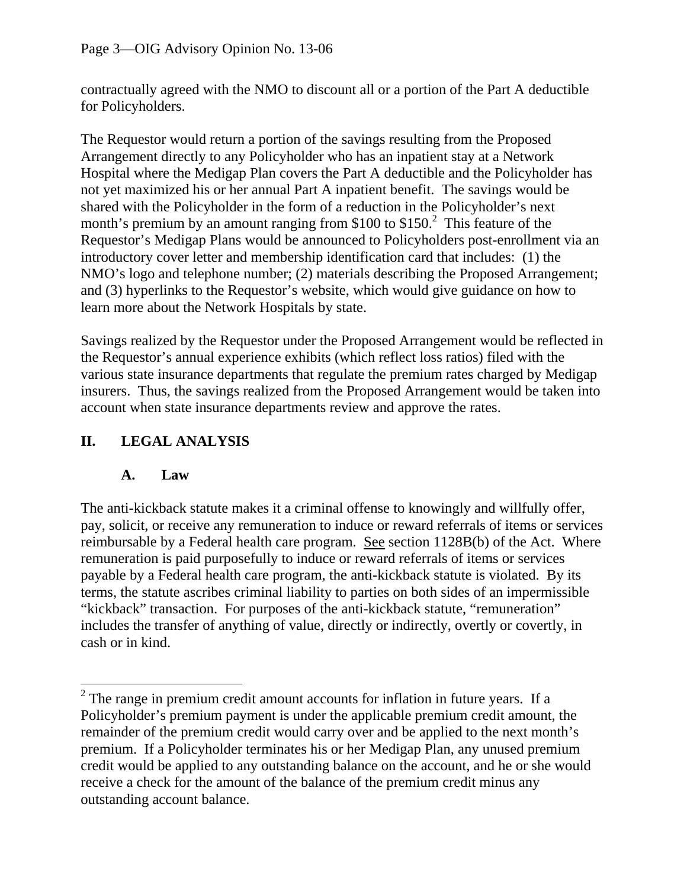contractually agreed with the NMO to discount all or a portion of the Part A deductible for Policyholders.

The Requestor would return a portion of the savings resulting from the Proposed Arrangement directly to any Policyholder who has an inpatient stay at a Network Hospital where the Medigap Plan covers the Part A deductible and the Policyholder has not yet maximized his or her annual Part A inpatient benefit. The savings would be shared with the Policyholder in the form of a reduction in the Policyholder's next month's premium by an amount ranging from  $$100$  to  $$150<sup>2</sup>$ . This feature of the Requestor's Medigap Plans would be announced to Policyholders post-enrollment via an introductory cover letter and membership identification card that includes: (1) the NMO's logo and telephone number; (2) materials describing the Proposed Arrangement; and (3) hyperlinks to the Requestor's website, which would give guidance on how to learn more about the Network Hospitals by state.

Savings realized by the Requestor under the Proposed Arrangement would be reflected in the Requestor's annual experience exhibits (which reflect loss ratios) filed with the various state insurance departments that regulate the premium rates charged by Medigap insurers. Thus, the savings realized from the Proposed Arrangement would be taken into account when state insurance departments review and approve the rates.

## **II. LEGAL ANALYSIS**

### **A. Law**

The anti-kickback statute makes it a criminal offense to knowingly and willfully offer, pay, solicit, or receive any remuneration to induce or reward referrals of items or services reimbursable by a Federal health care program. See section 1128B(b) of the Act. Where remuneration is paid purposefully to induce or reward referrals of items or services payable by a Federal health care program, the anti-kickback statute is violated. By its terms, the statute ascribes criminal liability to parties on both sides of an impermissible "kickback" transaction. For purposes of the anti-kickback statute, "remuneration" includes the transfer of anything of value, directly or indirectly, overtly or covertly, in cash or in kind.

 $2<sup>2</sup>$  The range in premium credit amount accounts for inflation in future years. If a Policyholder's premium payment is under the applicable premium credit amount, the remainder of the premium credit would carry over and be applied to the next month's premium. If a Policyholder terminates his or her Medigap Plan, any unused premium credit would be applied to any outstanding balance on the account, and he or she would receive a check for the amount of the balance of the premium credit minus any outstanding account balance.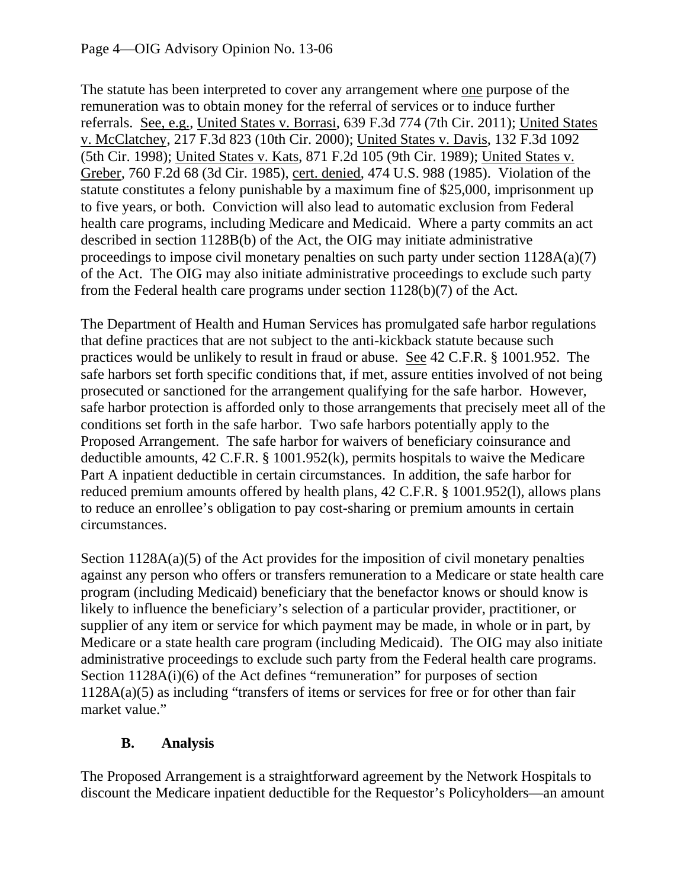The statute has been interpreted to cover any arrangement where one purpose of the remuneration was to obtain money for the referral of services or to induce further referrals. See, e.g., United States v. Borrasi, 639 F.3d 774 (7th Cir. 2011); United States v. McClatchey, 217 F.3d 823 (10th Cir. 2000); United States v. Davis, 132 F.3d 1092 (5th Cir. 1998); United States v. Kats, 871 F.2d 105 (9th Cir. 1989); United States v. Greber, 760 F.2d 68 (3d Cir. 1985), cert. denied, 474 U.S. 988 (1985). Violation of the statute constitutes a felony punishable by a maximum fine of \$25,000, imprisonment up to five years, or both. Conviction will also lead to automatic exclusion from Federal health care programs, including Medicare and Medicaid. Where a party commits an act described in section 1128B(b) of the Act, the OIG may initiate administrative proceedings to impose civil monetary penalties on such party under section 1128A(a)(7) of the Act. The OIG may also initiate administrative proceedings to exclude such party from the Federal health care programs under section 1128(b)(7) of the Act.

The Department of Health and Human Services has promulgated safe harbor regulations that define practices that are not subject to the anti-kickback statute because such practices would be unlikely to result in fraud or abuse. See 42 C.F.R. § 1001.952. The safe harbors set forth specific conditions that, if met, assure entities involved of not being prosecuted or sanctioned for the arrangement qualifying for the safe harbor. However, safe harbor protection is afforded only to those arrangements that precisely meet all of the conditions set forth in the safe harbor. Two safe harbors potentially apply to the Proposed Arrangement. The safe harbor for waivers of beneficiary coinsurance and deductible amounts, 42 C.F.R. § 1001.952(k), permits hospitals to waive the Medicare Part A inpatient deductible in certain circumstances. In addition, the safe harbor for reduced premium amounts offered by health plans, 42 C.F.R. § 1001.952(l), allows plans to reduce an enrollee's obligation to pay cost-sharing or premium amounts in certain circumstances.

Section  $1128A(a)(5)$  of the Act provides for the imposition of civil monetary penalties against any person who offers or transfers remuneration to a Medicare or state health care program (including Medicaid) beneficiary that the benefactor knows or should know is likely to influence the beneficiary's selection of a particular provider, practitioner, or supplier of any item or service for which payment may be made, in whole or in part, by Medicare or a state health care program (including Medicaid). The OIG may also initiate administrative proceedings to exclude such party from the Federal health care programs. Section 1128A(i)(6) of the Act defines "remuneration" for purposes of section 1128A(a)(5) as including "transfers of items or services for free or for other than fair market value."

### **B. Analysis**

The Proposed Arrangement is a straightforward agreement by the Network Hospitals to discount the Medicare inpatient deductible for the Requestor's Policyholders—an amount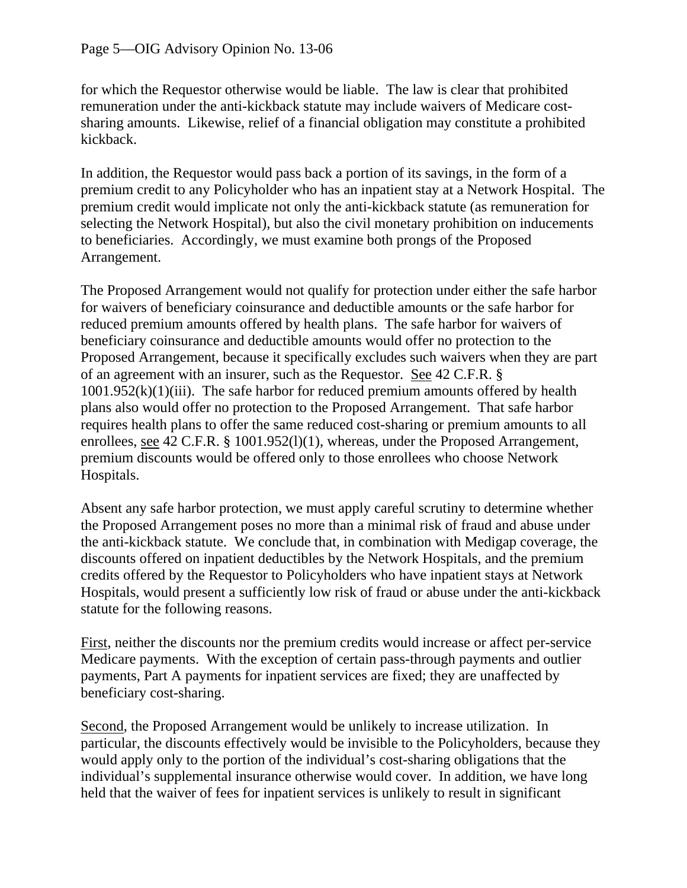for which the Requestor otherwise would be liable. The law is clear that prohibited remuneration under the anti-kickback statute may include waivers of Medicare costsharing amounts. Likewise, relief of a financial obligation may constitute a prohibited kickback.

In addition, the Requestor would pass back a portion of its savings, in the form of a premium credit to any Policyholder who has an inpatient stay at a Network Hospital. The premium credit would implicate not only the anti-kickback statute (as remuneration for selecting the Network Hospital), but also the civil monetary prohibition on inducements to beneficiaries. Accordingly, we must examine both prongs of the Proposed Arrangement.

The Proposed Arrangement would not qualify for protection under either the safe harbor for waivers of beneficiary coinsurance and deductible amounts or the safe harbor for reduced premium amounts offered by health plans. The safe harbor for waivers of beneficiary coinsurance and deductible amounts would offer no protection to the Proposed Arrangement, because it specifically excludes such waivers when they are part of an agreement with an insurer, such as the Requestor. See 42 C.F.R. §  $1001.952(k)(1)(iii)$ . The safe harbor for reduced premium amounts offered by health plans also would offer no protection to the Proposed Arrangement. That safe harbor requires health plans to offer the same reduced cost-sharing or premium amounts to all enrollees, see 42 C.F.R. § 1001.952(l)(1), whereas, under the Proposed Arrangement, premium discounts would be offered only to those enrollees who choose Network Hospitals.

Absent any safe harbor protection, we must apply careful scrutiny to determine whether the Proposed Arrangement poses no more than a minimal risk of fraud and abuse under the anti-kickback statute. We conclude that, in combination with Medigap coverage, the discounts offered on inpatient deductibles by the Network Hospitals, and the premium credits offered by the Requestor to Policyholders who have inpatient stays at Network Hospitals, would present a sufficiently low risk of fraud or abuse under the anti-kickback statute for the following reasons.

First, neither the discounts nor the premium credits would increase or affect per-service Medicare payments. With the exception of certain pass-through payments and outlier payments, Part A payments for inpatient services are fixed; they are unaffected by beneficiary cost-sharing.

Second, the Proposed Arrangement would be unlikely to increase utilization. In particular, the discounts effectively would be invisible to the Policyholders, because they would apply only to the portion of the individual's cost-sharing obligations that the individual's supplemental insurance otherwise would cover. In addition, we have long held that the waiver of fees for inpatient services is unlikely to result in significant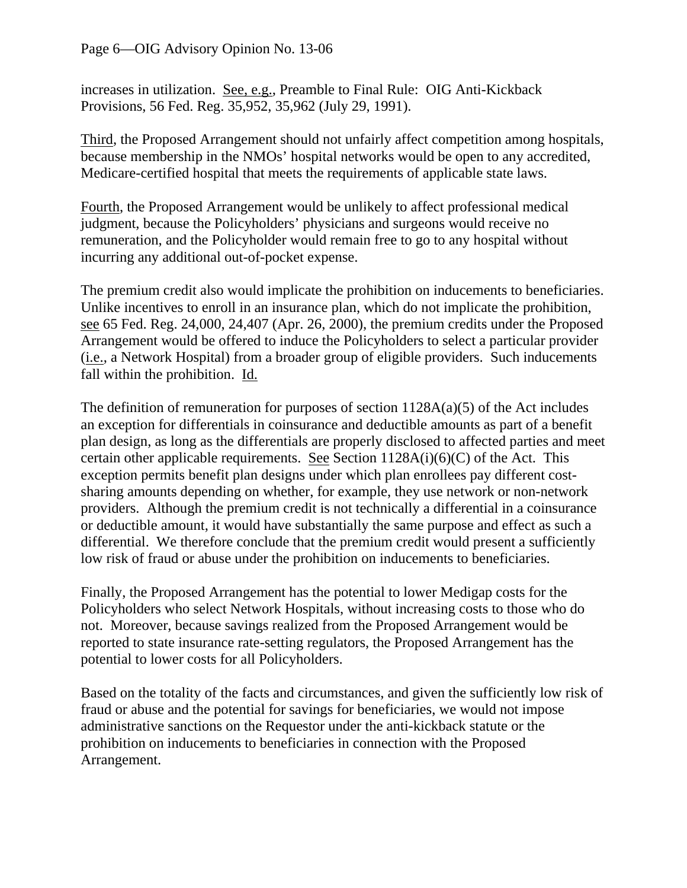increases in utilization. See, e.g., Preamble to Final Rule: OIG Anti-Kickback Provisions, 56 Fed. Reg. 35,952, 35,962 (July 29, 1991).

Third, the Proposed Arrangement should not unfairly affect competition among hospitals, because membership in the NMOs' hospital networks would be open to any accredited, Medicare-certified hospital that meets the requirements of applicable state laws.

Fourth, the Proposed Arrangement would be unlikely to affect professional medical judgment, because the Policyholders' physicians and surgeons would receive no remuneration, and the Policyholder would remain free to go to any hospital without incurring any additional out-of-pocket expense.

The premium credit also would implicate the prohibition on inducements to beneficiaries. Unlike incentives to enroll in an insurance plan, which do not implicate the prohibition, see 65 Fed. Reg. 24,000, 24,407 (Apr. 26, 2000), the premium credits under the Proposed Arrangement would be offered to induce the Policyholders to select a particular provider (i.e., a Network Hospital) from a broader group of eligible providers. Such inducements fall within the prohibition. Id.

The definition of remuneration for purposes of section 1128A(a)(5) of the Act includes an exception for differentials in coinsurance and deductible amounts as part of a benefit plan design, as long as the differentials are properly disclosed to affected parties and meet certain other applicable requirements. See Section  $1128A(i)(6)(C)$  of the Act. This exception permits benefit plan designs under which plan enrollees pay different costsharing amounts depending on whether, for example, they use network or non-network providers. Although the premium credit is not technically a differential in a coinsurance or deductible amount, it would have substantially the same purpose and effect as such a differential. We therefore conclude that the premium credit would present a sufficiently low risk of fraud or abuse under the prohibition on inducements to beneficiaries.

Finally, the Proposed Arrangement has the potential to lower Medigap costs for the Policyholders who select Network Hospitals, without increasing costs to those who do not. Moreover, because savings realized from the Proposed Arrangement would be reported to state insurance rate-setting regulators, the Proposed Arrangement has the potential to lower costs for all Policyholders.

Based on the totality of the facts and circumstances, and given the sufficiently low risk of fraud or abuse and the potential for savings for beneficiaries, we would not impose administrative sanctions on the Requestor under the anti-kickback statute or the prohibition on inducements to beneficiaries in connection with the Proposed Arrangement.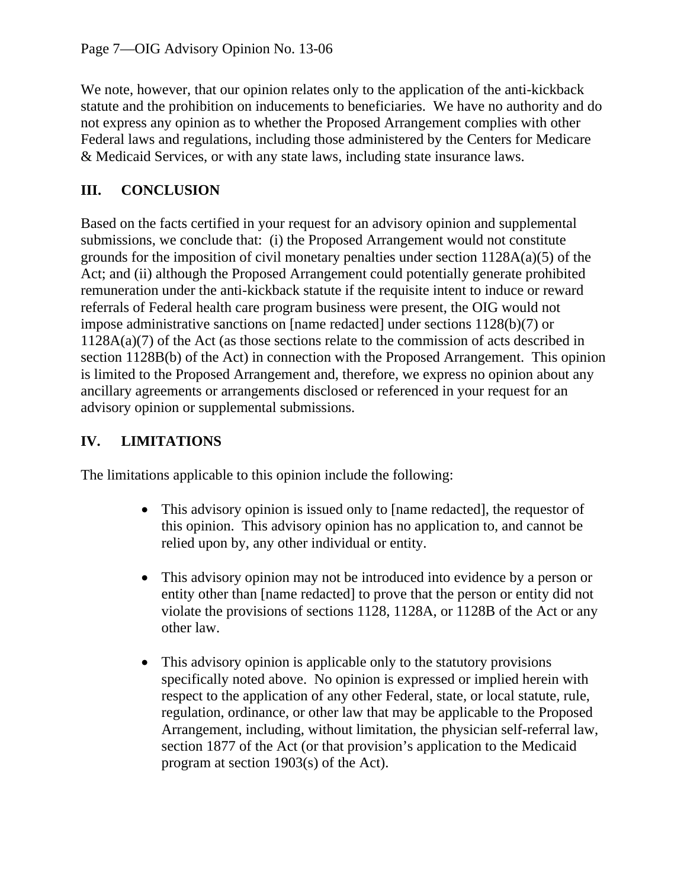We note, however, that our opinion relates only to the application of the anti-kickback statute and the prohibition on inducements to beneficiaries. We have no authority and do not express any opinion as to whether the Proposed Arrangement complies with other Federal laws and regulations, including those administered by the Centers for Medicare & Medicaid Services, or with any state laws, including state insurance laws.

## **III. CONCLUSION**

Based on the facts certified in your request for an advisory opinion and supplemental submissions, we conclude that: (i) the Proposed Arrangement would not constitute grounds for the imposition of civil monetary penalties under section 1128A(a)(5) of the Act; and (ii) although the Proposed Arrangement could potentially generate prohibited remuneration under the anti-kickback statute if the requisite intent to induce or reward referrals of Federal health care program business were present, the OIG would not impose administrative sanctions on [name redacted] under sections 1128(b)(7) or 1128A(a)(7) of the Act (as those sections relate to the commission of acts described in section 1128B(b) of the Act) in connection with the Proposed Arrangement. This opinion is limited to the Proposed Arrangement and, therefore, we express no opinion about any ancillary agreements or arrangements disclosed or referenced in your request for an advisory opinion or supplemental submissions.

## **IV. LIMITATIONS**

The limitations applicable to this opinion include the following:

- This advisory opinion is issued only to [name redacted], the requestor of this opinion. This advisory opinion has no application to, and cannot be relied upon by, any other individual or entity.
- This advisory opinion may not be introduced into evidence by a person or entity other than [name redacted] to prove that the person or entity did not violate the provisions of sections 1128, 1128A, or 1128B of the Act or any other law.
- This advisory opinion is applicable only to the statutory provisions specifically noted above. No opinion is expressed or implied herein with respect to the application of any other Federal, state, or local statute, rule, regulation, ordinance, or other law that may be applicable to the Proposed Arrangement, including, without limitation, the physician self-referral law, section 1877 of the Act (or that provision's application to the Medicaid program at section 1903(s) of the Act).